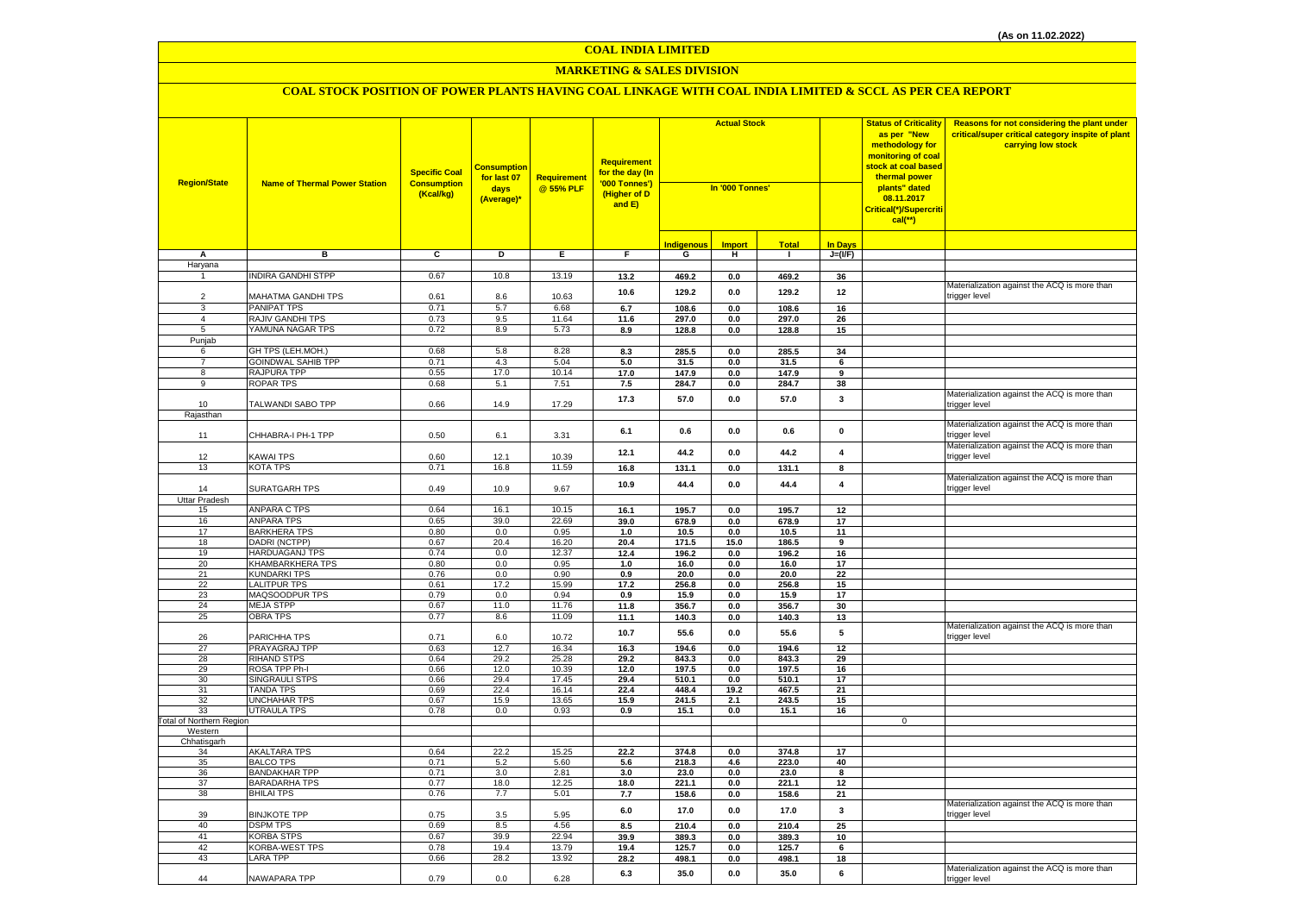#### **MARKETING & SALES DIVISION**

| <b>Import</b><br><b>Total</b><br><b>In Days</b><br><b>Indigenous</b><br>в<br>C<br>D<br>Е.<br>F.<br>G<br>н.<br>$J=(VF)$<br>А<br>$\mathbf{I}$<br>Haryana<br><b>INDIRA GANDHI STPP</b><br>0.67<br>10.8<br>13.19<br>13.2<br>469.2<br>$\bf 0.0$<br>469.2<br>36<br>Materialization against the ACQ is more than<br>129.2<br>10.6<br>129.2<br>0.0<br>12<br>trigger level<br>MAHATMA GANDHI TPS<br>0.61<br>10.63<br>$\mathcal{P}$<br>8.6<br>5.7<br>6.7<br>108.6<br>0.0<br>108.6<br>16<br>PANIPAT TPS<br>0.71<br>6.68<br>3<br>9.5<br>RAJIV GANDHI TPS<br>4<br>0.73<br>11.64<br>11.6<br>297.0<br>0.0<br>297.0<br>26<br>YAMUNA NAGAR TPS<br>0.72<br>8.9<br>5.73<br>128.8<br>128.8<br>5<br>8.9<br>0.0<br>15<br>Punjab<br>GH TPS (LEH.MOH.)<br>0.68<br>5.8<br>8.28<br>285.5<br>34<br>8.3<br>0.0<br>285.5<br>6<br><b>GOINDWAL SAHIB TPP</b><br>0.71<br>4.3<br>5.04<br>5.0<br>31.5<br>0.0<br>31.5<br>$\overline{7}$<br>6<br>17.0<br>RAJPURA TPP<br>0.55<br>10.14<br>17.0<br>147.9<br>0.0<br>147.9<br>9<br>8<br><b>ROPAR TPS</b><br>0.68<br>5.1<br>7.51<br>9<br>7.5<br>284.7<br>$0.0\,$<br>284.7<br>38<br>Materialization against the ACQ is more than<br>17.3<br>57.0<br>0.0<br>57.0<br>$\mathbf{3}$<br><b>TALWANDI SABO TPP</b><br>0.66<br>14.9<br>17.29<br>trigger level<br>10<br>Rajasthan<br>Materialization against the ACQ is more than<br>0.6<br>0.0<br>$\mathbf 0$<br>6.1<br>0.6<br>3.31<br>trigger level<br>CHHABRA-I PH-1 TPP<br>0.50<br>6.1<br>11<br>Materialization against the ACQ is more than<br>12.1<br>44.2<br>0.0<br>44.2<br>4<br>KAWAI TPS<br>0.60<br>12.1<br>10.39<br>12<br>trigger level<br><b>KOTA TPS</b><br>0.71<br>16.8<br>11.59<br>13<br>16.8<br>131.1<br>0.0<br>131.1<br>8<br>Materialization against the ACQ is more than<br>10.9<br>44.4<br>44.4<br>4<br>0.0<br><b>SURATGARH TPS</b><br>0.49<br>10.9<br>9.67<br>trigger level<br>14<br>Uttar Pradesh<br>ANPARA C TPS<br>0.64<br>16.1<br>10.15<br>15<br>16.1<br>195.7<br>195.7<br>12<br>0.0<br>16<br>ANPARA TPS<br>0.65<br>39.0<br>22.69<br>39.0<br>678.9<br>0.0<br>678.9<br>17<br>17<br><b>BARKHERA TPS</b><br>0.80<br>0.0<br>0.95<br>1.0<br>10.5<br>0.0<br>10.5<br>11<br>18<br>DADRI (NCTPP)<br>0.67<br>20.4<br>16.20<br>20.4<br>171.5<br>15.0<br>186.5<br>9<br>19<br><b>HARDUAGANJ TPS</b><br>0.74<br>0.0<br>12.37<br>12.4<br>196.2<br>0.0<br>196.2<br>16<br>20<br>KHAMBARKHERA TPS<br>0.80<br>0.0<br>0.95<br>1.0<br>16.0<br>17<br>0.0<br>16.0<br>21<br><b>KUNDARKI TPS</b><br>0.76<br>0.0<br>0.90<br>22<br>0.9<br>20.0<br>$0.0\,$<br>20.0<br>22<br><b>LALITPUR TPS</b><br>0.61<br>17.2<br>15.99<br>17.2<br>256.8<br>$0.0\,$<br>256.8<br>15<br>MAQSOODPUR TPS<br>23<br>0.79<br>0.0<br>0.94<br>0.9<br>15.9<br>15.9<br>0.0<br>17<br>24<br><b>MEJA STPP</b><br>0.67<br>11.0<br>11.76<br>11.8<br>356.7<br>0.0<br>356.7<br>30<br>25<br><b>OBRA TPS</b><br>0.77<br>8.6<br>11.09<br>11.1<br>140.3<br>140.3<br>13<br>0.0<br>Materialization against the ACQ is more than<br>5<br>10.7<br>55.6<br>0.0<br>55.6<br>26<br>PARICHHA TPS<br>0.71<br>6.0<br>10.72<br>trigger level<br>PRAYAGRAJ TPP<br>27<br>0.63<br>12.7<br>16.34<br>16.3<br>194.6<br>0.0<br>194.6<br>12<br><b>RIHAND STPS</b><br>28<br>0.64<br>29.2<br>25.28<br>29.2<br>843.3<br>843.3<br>29<br>0.0<br>ROSA TPP Ph-I<br>0.66<br>12.0<br>10.39<br>197.5<br>29<br>12.0<br>$0.0\,$<br>197.5<br>16<br><b>SINGRAULI STPS</b><br>0.66<br>29.4<br>17.45<br>30<br>29.4<br>510.1<br>510.1<br>$17\,$<br>0.0<br><b>TANDA TPS</b><br>0.69<br>22.4<br>22.4<br>21<br>16.14<br>448.4<br>19.2<br>467.5<br>31<br><b>UNCHAHAR TPS</b><br>0.67<br>15.9<br>13.65<br>15.9<br>241.5<br>2.1<br>243.5<br>15<br>32<br><b>UTRAULA TPS</b><br>0.78<br>0.0<br>15.1<br>0.0<br>16<br>0.93<br>0.9<br>15.1<br>33<br><b>Total of Northern Region</b><br>$\mathbf 0$<br>Western<br>Chhatisgarh<br><b>AKALTARA TPS</b><br>0.64<br>22.2<br>15.25<br>22.2<br>374.8<br>$0.0\,$<br>374.8<br>17<br>34<br><b>BALCO TPS</b><br>218.3<br>40<br>35<br>0.71<br>5.2<br>5.60<br>5.6<br>4.6<br>223.0<br><b>BANDAKHAR TPP</b><br>0.71<br>3.0<br>2.81<br>3.0<br>23.0<br>0.0<br>23.0<br>36<br>8<br><b>BARADARHA TPS</b><br>0.77<br>18.0<br>37<br>12.25<br>18.0<br>221.1<br>221.1<br>12<br>0.0<br><b>BHILAI TPS</b><br>0.76<br>5.01<br>38<br>7.7<br>7.7<br>158.6<br>0.0<br>158.6<br>21<br>Materialization against the ACQ is more than<br>17.0<br>0.0<br>17.0<br>$\overline{\mathbf{3}}$<br>6.0<br><b>BINJKOTE TPP</b><br>0.75<br>3.5<br>5.95<br>trigger level<br>39<br>40<br><b>DSPM TPS</b><br>0.69<br>8.5<br>4.56<br>8.5<br>210.4<br>210.4<br>25<br>0.0<br>41<br><b>KORBA STPS</b><br>0.67<br>39.9<br>22.94<br>39.9<br>389.3<br>389.3<br>$0.0\,$<br>10<br>42<br><b>KORBA-WEST TPS</b><br>0.78<br>19.4<br>13.79<br>19.4<br>125.7<br>125.7<br>0.0<br>6<br>0.66<br>28.2<br>43<br><b>LARA TPP</b><br>13.92<br>28.2<br>498.1<br>0.0<br>498.1<br>18<br>Materialization against the ACQ is more than<br>6.3<br>35.0<br>0.0<br>35.0<br>6 | <b>Region/State</b> | <b>Name of Thermal Power Station</b> | <b>Specific Coal</b><br><b>Consumption</b><br>(Kcal/kg) | <mark>Consumption</mark><br>for last 07<br>days<br>(Average)* | <b>Requirement</b><br>@ 55% PLF | <b>Requirement</b><br>for the day (In<br>'000 Tonnes')<br>(Higher of D<br>and E) | <b>Actual Stock</b><br>In '000 Tonnes' |  |  |  | <b>Status of Criticality</b><br>as per "New<br>methodology for<br>monitoring of coal<br><mark>stock at coal based</mark><br>thermal power<br>plants" dated<br>08.11.2017<br>Critical(*)/Supercriti<br>$cal("*)$ | Reasons for not considering the plant under<br>critical/super critical category inspite of plant<br>carrying low stock |
|----------------------------------------------------------------------------------------------------------------------------------------------------------------------------------------------------------------------------------------------------------------------------------------------------------------------------------------------------------------------------------------------------------------------------------------------------------------------------------------------------------------------------------------------------------------------------------------------------------------------------------------------------------------------------------------------------------------------------------------------------------------------------------------------------------------------------------------------------------------------------------------------------------------------------------------------------------------------------------------------------------------------------------------------------------------------------------------------------------------------------------------------------------------------------------------------------------------------------------------------------------------------------------------------------------------------------------------------------------------------------------------------------------------------------------------------------------------------------------------------------------------------------------------------------------------------------------------------------------------------------------------------------------------------------------------------------------------------------------------------------------------------------------------------------------------------------------------------------------------------------------------------------------------------------------------------------------------------------------------------------------------------------------------------------------------------------------------------------------------------------------------------------------------------------------------------------------------------------------------------------------------------------------------------------------------------------------------------------------------------------------------------------------------------------------------------------------------------------------------------------------------------------------------------------------------------------------------------------------------------------------------------------------------------------------------------------------------------------------------------------------------------------------------------------------------------------------------------------------------------------------------------------------------------------------------------------------------------------------------------------------------------------------------------------------------------------------------------------------------------------------------------------------------------------------------------------------------------------------------------------------------------------------------------------------------------------------------------------------------------------------------------------------------------------------------------------------------------------------------------------------------------------------------------------------------------------------------------------------------------------------------------------------------------------------------------------------------------------------------------------------------------------------------------------------------------------------------------------------------------------------------------------------------------------------------------------------------------------------------------------------------------------------------------------------------------------------------------------------------------------------------------------------------------------------------------------------------------------------------------------------------------------------------------------------------------------------------------------------------------------------------------------------------------------------------------------------------------------------------------------------------------------------------------------------------------------------------------------------------------------------------------------------------------------------------------------------------------------------------------------------------------------------------------------------------------------------------------------------------------------------------------------|---------------------|--------------------------------------|---------------------------------------------------------|---------------------------------------------------------------|---------------------------------|----------------------------------------------------------------------------------|----------------------------------------|--|--|--|-----------------------------------------------------------------------------------------------------------------------------------------------------------------------------------------------------------------|------------------------------------------------------------------------------------------------------------------------|
|                                                                                                                                                                                                                                                                                                                                                                                                                                                                                                                                                                                                                                                                                                                                                                                                                                                                                                                                                                                                                                                                                                                                                                                                                                                                                                                                                                                                                                                                                                                                                                                                                                                                                                                                                                                                                                                                                                                                                                                                                                                                                                                                                                                                                                                                                                                                                                                                                                                                                                                                                                                                                                                                                                                                                                                                                                                                                                                                                                                                                                                                                                                                                                                                                                                                                                                                                                                                                                                                                                                                                                                                                                                                                                                                                                                                                                                                                                                                                                                                                                                                                                                                                                                                                                                                                                                                                                                                                                                                                                                                                                                                                                                                                                                                                                                                                                                                                                    |                     |                                      |                                                         |                                                               |                                 |                                                                                  |                                        |  |  |  |                                                                                                                                                                                                                 |                                                                                                                        |
|                                                                                                                                                                                                                                                                                                                                                                                                                                                                                                                                                                                                                                                                                                                                                                                                                                                                                                                                                                                                                                                                                                                                                                                                                                                                                                                                                                                                                                                                                                                                                                                                                                                                                                                                                                                                                                                                                                                                                                                                                                                                                                                                                                                                                                                                                                                                                                                                                                                                                                                                                                                                                                                                                                                                                                                                                                                                                                                                                                                                                                                                                                                                                                                                                                                                                                                                                                                                                                                                                                                                                                                                                                                                                                                                                                                                                                                                                                                                                                                                                                                                                                                                                                                                                                                                                                                                                                                                                                                                                                                                                                                                                                                                                                                                                                                                                                                                                                    |                     |                                      |                                                         |                                                               |                                 |                                                                                  |                                        |  |  |  |                                                                                                                                                                                                                 |                                                                                                                        |
|                                                                                                                                                                                                                                                                                                                                                                                                                                                                                                                                                                                                                                                                                                                                                                                                                                                                                                                                                                                                                                                                                                                                                                                                                                                                                                                                                                                                                                                                                                                                                                                                                                                                                                                                                                                                                                                                                                                                                                                                                                                                                                                                                                                                                                                                                                                                                                                                                                                                                                                                                                                                                                                                                                                                                                                                                                                                                                                                                                                                                                                                                                                                                                                                                                                                                                                                                                                                                                                                                                                                                                                                                                                                                                                                                                                                                                                                                                                                                                                                                                                                                                                                                                                                                                                                                                                                                                                                                                                                                                                                                                                                                                                                                                                                                                                                                                                                                                    |                     |                                      |                                                         |                                                               |                                 |                                                                                  |                                        |  |  |  |                                                                                                                                                                                                                 |                                                                                                                        |
|                                                                                                                                                                                                                                                                                                                                                                                                                                                                                                                                                                                                                                                                                                                                                                                                                                                                                                                                                                                                                                                                                                                                                                                                                                                                                                                                                                                                                                                                                                                                                                                                                                                                                                                                                                                                                                                                                                                                                                                                                                                                                                                                                                                                                                                                                                                                                                                                                                                                                                                                                                                                                                                                                                                                                                                                                                                                                                                                                                                                                                                                                                                                                                                                                                                                                                                                                                                                                                                                                                                                                                                                                                                                                                                                                                                                                                                                                                                                                                                                                                                                                                                                                                                                                                                                                                                                                                                                                                                                                                                                                                                                                                                                                                                                                                                                                                                                                                    |                     |                                      |                                                         |                                                               |                                 |                                                                                  |                                        |  |  |  |                                                                                                                                                                                                                 |                                                                                                                        |
|                                                                                                                                                                                                                                                                                                                                                                                                                                                                                                                                                                                                                                                                                                                                                                                                                                                                                                                                                                                                                                                                                                                                                                                                                                                                                                                                                                                                                                                                                                                                                                                                                                                                                                                                                                                                                                                                                                                                                                                                                                                                                                                                                                                                                                                                                                                                                                                                                                                                                                                                                                                                                                                                                                                                                                                                                                                                                                                                                                                                                                                                                                                                                                                                                                                                                                                                                                                                                                                                                                                                                                                                                                                                                                                                                                                                                                                                                                                                                                                                                                                                                                                                                                                                                                                                                                                                                                                                                                                                                                                                                                                                                                                                                                                                                                                                                                                                                                    |                     |                                      |                                                         |                                                               |                                 |                                                                                  |                                        |  |  |  |                                                                                                                                                                                                                 |                                                                                                                        |
|                                                                                                                                                                                                                                                                                                                                                                                                                                                                                                                                                                                                                                                                                                                                                                                                                                                                                                                                                                                                                                                                                                                                                                                                                                                                                                                                                                                                                                                                                                                                                                                                                                                                                                                                                                                                                                                                                                                                                                                                                                                                                                                                                                                                                                                                                                                                                                                                                                                                                                                                                                                                                                                                                                                                                                                                                                                                                                                                                                                                                                                                                                                                                                                                                                                                                                                                                                                                                                                                                                                                                                                                                                                                                                                                                                                                                                                                                                                                                                                                                                                                                                                                                                                                                                                                                                                                                                                                                                                                                                                                                                                                                                                                                                                                                                                                                                                                                                    |                     |                                      |                                                         |                                                               |                                 |                                                                                  |                                        |  |  |  |                                                                                                                                                                                                                 |                                                                                                                        |
|                                                                                                                                                                                                                                                                                                                                                                                                                                                                                                                                                                                                                                                                                                                                                                                                                                                                                                                                                                                                                                                                                                                                                                                                                                                                                                                                                                                                                                                                                                                                                                                                                                                                                                                                                                                                                                                                                                                                                                                                                                                                                                                                                                                                                                                                                                                                                                                                                                                                                                                                                                                                                                                                                                                                                                                                                                                                                                                                                                                                                                                                                                                                                                                                                                                                                                                                                                                                                                                                                                                                                                                                                                                                                                                                                                                                                                                                                                                                                                                                                                                                                                                                                                                                                                                                                                                                                                                                                                                                                                                                                                                                                                                                                                                                                                                                                                                                                                    |                     |                                      |                                                         |                                                               |                                 |                                                                                  |                                        |  |  |  |                                                                                                                                                                                                                 |                                                                                                                        |
|                                                                                                                                                                                                                                                                                                                                                                                                                                                                                                                                                                                                                                                                                                                                                                                                                                                                                                                                                                                                                                                                                                                                                                                                                                                                                                                                                                                                                                                                                                                                                                                                                                                                                                                                                                                                                                                                                                                                                                                                                                                                                                                                                                                                                                                                                                                                                                                                                                                                                                                                                                                                                                                                                                                                                                                                                                                                                                                                                                                                                                                                                                                                                                                                                                                                                                                                                                                                                                                                                                                                                                                                                                                                                                                                                                                                                                                                                                                                                                                                                                                                                                                                                                                                                                                                                                                                                                                                                                                                                                                                                                                                                                                                                                                                                                                                                                                                                                    |                     |                                      |                                                         |                                                               |                                 |                                                                                  |                                        |  |  |  |                                                                                                                                                                                                                 |                                                                                                                        |
|                                                                                                                                                                                                                                                                                                                                                                                                                                                                                                                                                                                                                                                                                                                                                                                                                                                                                                                                                                                                                                                                                                                                                                                                                                                                                                                                                                                                                                                                                                                                                                                                                                                                                                                                                                                                                                                                                                                                                                                                                                                                                                                                                                                                                                                                                                                                                                                                                                                                                                                                                                                                                                                                                                                                                                                                                                                                                                                                                                                                                                                                                                                                                                                                                                                                                                                                                                                                                                                                                                                                                                                                                                                                                                                                                                                                                                                                                                                                                                                                                                                                                                                                                                                                                                                                                                                                                                                                                                                                                                                                                                                                                                                                                                                                                                                                                                                                                                    |                     |                                      |                                                         |                                                               |                                 |                                                                                  |                                        |  |  |  |                                                                                                                                                                                                                 |                                                                                                                        |
|                                                                                                                                                                                                                                                                                                                                                                                                                                                                                                                                                                                                                                                                                                                                                                                                                                                                                                                                                                                                                                                                                                                                                                                                                                                                                                                                                                                                                                                                                                                                                                                                                                                                                                                                                                                                                                                                                                                                                                                                                                                                                                                                                                                                                                                                                                                                                                                                                                                                                                                                                                                                                                                                                                                                                                                                                                                                                                                                                                                                                                                                                                                                                                                                                                                                                                                                                                                                                                                                                                                                                                                                                                                                                                                                                                                                                                                                                                                                                                                                                                                                                                                                                                                                                                                                                                                                                                                                                                                                                                                                                                                                                                                                                                                                                                                                                                                                                                    |                     |                                      |                                                         |                                                               |                                 |                                                                                  |                                        |  |  |  |                                                                                                                                                                                                                 |                                                                                                                        |
|                                                                                                                                                                                                                                                                                                                                                                                                                                                                                                                                                                                                                                                                                                                                                                                                                                                                                                                                                                                                                                                                                                                                                                                                                                                                                                                                                                                                                                                                                                                                                                                                                                                                                                                                                                                                                                                                                                                                                                                                                                                                                                                                                                                                                                                                                                                                                                                                                                                                                                                                                                                                                                                                                                                                                                                                                                                                                                                                                                                                                                                                                                                                                                                                                                                                                                                                                                                                                                                                                                                                                                                                                                                                                                                                                                                                                                                                                                                                                                                                                                                                                                                                                                                                                                                                                                                                                                                                                                                                                                                                                                                                                                                                                                                                                                                                                                                                                                    |                     |                                      |                                                         |                                                               |                                 |                                                                                  |                                        |  |  |  |                                                                                                                                                                                                                 |                                                                                                                        |
|                                                                                                                                                                                                                                                                                                                                                                                                                                                                                                                                                                                                                                                                                                                                                                                                                                                                                                                                                                                                                                                                                                                                                                                                                                                                                                                                                                                                                                                                                                                                                                                                                                                                                                                                                                                                                                                                                                                                                                                                                                                                                                                                                                                                                                                                                                                                                                                                                                                                                                                                                                                                                                                                                                                                                                                                                                                                                                                                                                                                                                                                                                                                                                                                                                                                                                                                                                                                                                                                                                                                                                                                                                                                                                                                                                                                                                                                                                                                                                                                                                                                                                                                                                                                                                                                                                                                                                                                                                                                                                                                                                                                                                                                                                                                                                                                                                                                                                    |                     |                                      |                                                         |                                                               |                                 |                                                                                  |                                        |  |  |  |                                                                                                                                                                                                                 |                                                                                                                        |
|                                                                                                                                                                                                                                                                                                                                                                                                                                                                                                                                                                                                                                                                                                                                                                                                                                                                                                                                                                                                                                                                                                                                                                                                                                                                                                                                                                                                                                                                                                                                                                                                                                                                                                                                                                                                                                                                                                                                                                                                                                                                                                                                                                                                                                                                                                                                                                                                                                                                                                                                                                                                                                                                                                                                                                                                                                                                                                                                                                                                                                                                                                                                                                                                                                                                                                                                                                                                                                                                                                                                                                                                                                                                                                                                                                                                                                                                                                                                                                                                                                                                                                                                                                                                                                                                                                                                                                                                                                                                                                                                                                                                                                                                                                                                                                                                                                                                                                    |                     |                                      |                                                         |                                                               |                                 |                                                                                  |                                        |  |  |  |                                                                                                                                                                                                                 |                                                                                                                        |
|                                                                                                                                                                                                                                                                                                                                                                                                                                                                                                                                                                                                                                                                                                                                                                                                                                                                                                                                                                                                                                                                                                                                                                                                                                                                                                                                                                                                                                                                                                                                                                                                                                                                                                                                                                                                                                                                                                                                                                                                                                                                                                                                                                                                                                                                                                                                                                                                                                                                                                                                                                                                                                                                                                                                                                                                                                                                                                                                                                                                                                                                                                                                                                                                                                                                                                                                                                                                                                                                                                                                                                                                                                                                                                                                                                                                                                                                                                                                                                                                                                                                                                                                                                                                                                                                                                                                                                                                                                                                                                                                                                                                                                                                                                                                                                                                                                                                                                    |                     |                                      |                                                         |                                                               |                                 |                                                                                  |                                        |  |  |  |                                                                                                                                                                                                                 |                                                                                                                        |
|                                                                                                                                                                                                                                                                                                                                                                                                                                                                                                                                                                                                                                                                                                                                                                                                                                                                                                                                                                                                                                                                                                                                                                                                                                                                                                                                                                                                                                                                                                                                                                                                                                                                                                                                                                                                                                                                                                                                                                                                                                                                                                                                                                                                                                                                                                                                                                                                                                                                                                                                                                                                                                                                                                                                                                                                                                                                                                                                                                                                                                                                                                                                                                                                                                                                                                                                                                                                                                                                                                                                                                                                                                                                                                                                                                                                                                                                                                                                                                                                                                                                                                                                                                                                                                                                                                                                                                                                                                                                                                                                                                                                                                                                                                                                                                                                                                                                                                    |                     |                                      |                                                         |                                                               |                                 |                                                                                  |                                        |  |  |  |                                                                                                                                                                                                                 |                                                                                                                        |
|                                                                                                                                                                                                                                                                                                                                                                                                                                                                                                                                                                                                                                                                                                                                                                                                                                                                                                                                                                                                                                                                                                                                                                                                                                                                                                                                                                                                                                                                                                                                                                                                                                                                                                                                                                                                                                                                                                                                                                                                                                                                                                                                                                                                                                                                                                                                                                                                                                                                                                                                                                                                                                                                                                                                                                                                                                                                                                                                                                                                                                                                                                                                                                                                                                                                                                                                                                                                                                                                                                                                                                                                                                                                                                                                                                                                                                                                                                                                                                                                                                                                                                                                                                                                                                                                                                                                                                                                                                                                                                                                                                                                                                                                                                                                                                                                                                                                                                    |                     |                                      |                                                         |                                                               |                                 |                                                                                  |                                        |  |  |  |                                                                                                                                                                                                                 |                                                                                                                        |
|                                                                                                                                                                                                                                                                                                                                                                                                                                                                                                                                                                                                                                                                                                                                                                                                                                                                                                                                                                                                                                                                                                                                                                                                                                                                                                                                                                                                                                                                                                                                                                                                                                                                                                                                                                                                                                                                                                                                                                                                                                                                                                                                                                                                                                                                                                                                                                                                                                                                                                                                                                                                                                                                                                                                                                                                                                                                                                                                                                                                                                                                                                                                                                                                                                                                                                                                                                                                                                                                                                                                                                                                                                                                                                                                                                                                                                                                                                                                                                                                                                                                                                                                                                                                                                                                                                                                                                                                                                                                                                                                                                                                                                                                                                                                                                                                                                                                                                    |                     |                                      |                                                         |                                                               |                                 |                                                                                  |                                        |  |  |  |                                                                                                                                                                                                                 |                                                                                                                        |
|                                                                                                                                                                                                                                                                                                                                                                                                                                                                                                                                                                                                                                                                                                                                                                                                                                                                                                                                                                                                                                                                                                                                                                                                                                                                                                                                                                                                                                                                                                                                                                                                                                                                                                                                                                                                                                                                                                                                                                                                                                                                                                                                                                                                                                                                                                                                                                                                                                                                                                                                                                                                                                                                                                                                                                                                                                                                                                                                                                                                                                                                                                                                                                                                                                                                                                                                                                                                                                                                                                                                                                                                                                                                                                                                                                                                                                                                                                                                                                                                                                                                                                                                                                                                                                                                                                                                                                                                                                                                                                                                                                                                                                                                                                                                                                                                                                                                                                    |                     |                                      |                                                         |                                                               |                                 |                                                                                  |                                        |  |  |  |                                                                                                                                                                                                                 |                                                                                                                        |
|                                                                                                                                                                                                                                                                                                                                                                                                                                                                                                                                                                                                                                                                                                                                                                                                                                                                                                                                                                                                                                                                                                                                                                                                                                                                                                                                                                                                                                                                                                                                                                                                                                                                                                                                                                                                                                                                                                                                                                                                                                                                                                                                                                                                                                                                                                                                                                                                                                                                                                                                                                                                                                                                                                                                                                                                                                                                                                                                                                                                                                                                                                                                                                                                                                                                                                                                                                                                                                                                                                                                                                                                                                                                                                                                                                                                                                                                                                                                                                                                                                                                                                                                                                                                                                                                                                                                                                                                                                                                                                                                                                                                                                                                                                                                                                                                                                                                                                    |                     |                                      |                                                         |                                                               |                                 |                                                                                  |                                        |  |  |  |                                                                                                                                                                                                                 |                                                                                                                        |
|                                                                                                                                                                                                                                                                                                                                                                                                                                                                                                                                                                                                                                                                                                                                                                                                                                                                                                                                                                                                                                                                                                                                                                                                                                                                                                                                                                                                                                                                                                                                                                                                                                                                                                                                                                                                                                                                                                                                                                                                                                                                                                                                                                                                                                                                                                                                                                                                                                                                                                                                                                                                                                                                                                                                                                                                                                                                                                                                                                                                                                                                                                                                                                                                                                                                                                                                                                                                                                                                                                                                                                                                                                                                                                                                                                                                                                                                                                                                                                                                                                                                                                                                                                                                                                                                                                                                                                                                                                                                                                                                                                                                                                                                                                                                                                                                                                                                                                    |                     |                                      |                                                         |                                                               |                                 |                                                                                  |                                        |  |  |  |                                                                                                                                                                                                                 |                                                                                                                        |
|                                                                                                                                                                                                                                                                                                                                                                                                                                                                                                                                                                                                                                                                                                                                                                                                                                                                                                                                                                                                                                                                                                                                                                                                                                                                                                                                                                                                                                                                                                                                                                                                                                                                                                                                                                                                                                                                                                                                                                                                                                                                                                                                                                                                                                                                                                                                                                                                                                                                                                                                                                                                                                                                                                                                                                                                                                                                                                                                                                                                                                                                                                                                                                                                                                                                                                                                                                                                                                                                                                                                                                                                                                                                                                                                                                                                                                                                                                                                                                                                                                                                                                                                                                                                                                                                                                                                                                                                                                                                                                                                                                                                                                                                                                                                                                                                                                                                                                    |                     |                                      |                                                         |                                                               |                                 |                                                                                  |                                        |  |  |  |                                                                                                                                                                                                                 |                                                                                                                        |
|                                                                                                                                                                                                                                                                                                                                                                                                                                                                                                                                                                                                                                                                                                                                                                                                                                                                                                                                                                                                                                                                                                                                                                                                                                                                                                                                                                                                                                                                                                                                                                                                                                                                                                                                                                                                                                                                                                                                                                                                                                                                                                                                                                                                                                                                                                                                                                                                                                                                                                                                                                                                                                                                                                                                                                                                                                                                                                                                                                                                                                                                                                                                                                                                                                                                                                                                                                                                                                                                                                                                                                                                                                                                                                                                                                                                                                                                                                                                                                                                                                                                                                                                                                                                                                                                                                                                                                                                                                                                                                                                                                                                                                                                                                                                                                                                                                                                                                    |                     |                                      |                                                         |                                                               |                                 |                                                                                  |                                        |  |  |  |                                                                                                                                                                                                                 |                                                                                                                        |
|                                                                                                                                                                                                                                                                                                                                                                                                                                                                                                                                                                                                                                                                                                                                                                                                                                                                                                                                                                                                                                                                                                                                                                                                                                                                                                                                                                                                                                                                                                                                                                                                                                                                                                                                                                                                                                                                                                                                                                                                                                                                                                                                                                                                                                                                                                                                                                                                                                                                                                                                                                                                                                                                                                                                                                                                                                                                                                                                                                                                                                                                                                                                                                                                                                                                                                                                                                                                                                                                                                                                                                                                                                                                                                                                                                                                                                                                                                                                                                                                                                                                                                                                                                                                                                                                                                                                                                                                                                                                                                                                                                                                                                                                                                                                                                                                                                                                                                    |                     |                                      |                                                         |                                                               |                                 |                                                                                  |                                        |  |  |  |                                                                                                                                                                                                                 |                                                                                                                        |
|                                                                                                                                                                                                                                                                                                                                                                                                                                                                                                                                                                                                                                                                                                                                                                                                                                                                                                                                                                                                                                                                                                                                                                                                                                                                                                                                                                                                                                                                                                                                                                                                                                                                                                                                                                                                                                                                                                                                                                                                                                                                                                                                                                                                                                                                                                                                                                                                                                                                                                                                                                                                                                                                                                                                                                                                                                                                                                                                                                                                                                                                                                                                                                                                                                                                                                                                                                                                                                                                                                                                                                                                                                                                                                                                                                                                                                                                                                                                                                                                                                                                                                                                                                                                                                                                                                                                                                                                                                                                                                                                                                                                                                                                                                                                                                                                                                                                                                    |                     |                                      |                                                         |                                                               |                                 |                                                                                  |                                        |  |  |  |                                                                                                                                                                                                                 |                                                                                                                        |
|                                                                                                                                                                                                                                                                                                                                                                                                                                                                                                                                                                                                                                                                                                                                                                                                                                                                                                                                                                                                                                                                                                                                                                                                                                                                                                                                                                                                                                                                                                                                                                                                                                                                                                                                                                                                                                                                                                                                                                                                                                                                                                                                                                                                                                                                                                                                                                                                                                                                                                                                                                                                                                                                                                                                                                                                                                                                                                                                                                                                                                                                                                                                                                                                                                                                                                                                                                                                                                                                                                                                                                                                                                                                                                                                                                                                                                                                                                                                                                                                                                                                                                                                                                                                                                                                                                                                                                                                                                                                                                                                                                                                                                                                                                                                                                                                                                                                                                    |                     |                                      |                                                         |                                                               |                                 |                                                                                  |                                        |  |  |  |                                                                                                                                                                                                                 |                                                                                                                        |
|                                                                                                                                                                                                                                                                                                                                                                                                                                                                                                                                                                                                                                                                                                                                                                                                                                                                                                                                                                                                                                                                                                                                                                                                                                                                                                                                                                                                                                                                                                                                                                                                                                                                                                                                                                                                                                                                                                                                                                                                                                                                                                                                                                                                                                                                                                                                                                                                                                                                                                                                                                                                                                                                                                                                                                                                                                                                                                                                                                                                                                                                                                                                                                                                                                                                                                                                                                                                                                                                                                                                                                                                                                                                                                                                                                                                                                                                                                                                                                                                                                                                                                                                                                                                                                                                                                                                                                                                                                                                                                                                                                                                                                                                                                                                                                                                                                                                                                    |                     |                                      |                                                         |                                                               |                                 |                                                                                  |                                        |  |  |  |                                                                                                                                                                                                                 |                                                                                                                        |
|                                                                                                                                                                                                                                                                                                                                                                                                                                                                                                                                                                                                                                                                                                                                                                                                                                                                                                                                                                                                                                                                                                                                                                                                                                                                                                                                                                                                                                                                                                                                                                                                                                                                                                                                                                                                                                                                                                                                                                                                                                                                                                                                                                                                                                                                                                                                                                                                                                                                                                                                                                                                                                                                                                                                                                                                                                                                                                                                                                                                                                                                                                                                                                                                                                                                                                                                                                                                                                                                                                                                                                                                                                                                                                                                                                                                                                                                                                                                                                                                                                                                                                                                                                                                                                                                                                                                                                                                                                                                                                                                                                                                                                                                                                                                                                                                                                                                                                    |                     |                                      |                                                         |                                                               |                                 |                                                                                  |                                        |  |  |  |                                                                                                                                                                                                                 |                                                                                                                        |
|                                                                                                                                                                                                                                                                                                                                                                                                                                                                                                                                                                                                                                                                                                                                                                                                                                                                                                                                                                                                                                                                                                                                                                                                                                                                                                                                                                                                                                                                                                                                                                                                                                                                                                                                                                                                                                                                                                                                                                                                                                                                                                                                                                                                                                                                                                                                                                                                                                                                                                                                                                                                                                                                                                                                                                                                                                                                                                                                                                                                                                                                                                                                                                                                                                                                                                                                                                                                                                                                                                                                                                                                                                                                                                                                                                                                                                                                                                                                                                                                                                                                                                                                                                                                                                                                                                                                                                                                                                                                                                                                                                                                                                                                                                                                                                                                                                                                                                    |                     |                                      |                                                         |                                                               |                                 |                                                                                  |                                        |  |  |  |                                                                                                                                                                                                                 |                                                                                                                        |
|                                                                                                                                                                                                                                                                                                                                                                                                                                                                                                                                                                                                                                                                                                                                                                                                                                                                                                                                                                                                                                                                                                                                                                                                                                                                                                                                                                                                                                                                                                                                                                                                                                                                                                                                                                                                                                                                                                                                                                                                                                                                                                                                                                                                                                                                                                                                                                                                                                                                                                                                                                                                                                                                                                                                                                                                                                                                                                                                                                                                                                                                                                                                                                                                                                                                                                                                                                                                                                                                                                                                                                                                                                                                                                                                                                                                                                                                                                                                                                                                                                                                                                                                                                                                                                                                                                                                                                                                                                                                                                                                                                                                                                                                                                                                                                                                                                                                                                    |                     |                                      |                                                         |                                                               |                                 |                                                                                  |                                        |  |  |  |                                                                                                                                                                                                                 |                                                                                                                        |
|                                                                                                                                                                                                                                                                                                                                                                                                                                                                                                                                                                                                                                                                                                                                                                                                                                                                                                                                                                                                                                                                                                                                                                                                                                                                                                                                                                                                                                                                                                                                                                                                                                                                                                                                                                                                                                                                                                                                                                                                                                                                                                                                                                                                                                                                                                                                                                                                                                                                                                                                                                                                                                                                                                                                                                                                                                                                                                                                                                                                                                                                                                                                                                                                                                                                                                                                                                                                                                                                                                                                                                                                                                                                                                                                                                                                                                                                                                                                                                                                                                                                                                                                                                                                                                                                                                                                                                                                                                                                                                                                                                                                                                                                                                                                                                                                                                                                                                    |                     |                                      |                                                         |                                                               |                                 |                                                                                  |                                        |  |  |  |                                                                                                                                                                                                                 |                                                                                                                        |
|                                                                                                                                                                                                                                                                                                                                                                                                                                                                                                                                                                                                                                                                                                                                                                                                                                                                                                                                                                                                                                                                                                                                                                                                                                                                                                                                                                                                                                                                                                                                                                                                                                                                                                                                                                                                                                                                                                                                                                                                                                                                                                                                                                                                                                                                                                                                                                                                                                                                                                                                                                                                                                                                                                                                                                                                                                                                                                                                                                                                                                                                                                                                                                                                                                                                                                                                                                                                                                                                                                                                                                                                                                                                                                                                                                                                                                                                                                                                                                                                                                                                                                                                                                                                                                                                                                                                                                                                                                                                                                                                                                                                                                                                                                                                                                                                                                                                                                    |                     |                                      |                                                         |                                                               |                                 |                                                                                  |                                        |  |  |  |                                                                                                                                                                                                                 |                                                                                                                        |
|                                                                                                                                                                                                                                                                                                                                                                                                                                                                                                                                                                                                                                                                                                                                                                                                                                                                                                                                                                                                                                                                                                                                                                                                                                                                                                                                                                                                                                                                                                                                                                                                                                                                                                                                                                                                                                                                                                                                                                                                                                                                                                                                                                                                                                                                                                                                                                                                                                                                                                                                                                                                                                                                                                                                                                                                                                                                                                                                                                                                                                                                                                                                                                                                                                                                                                                                                                                                                                                                                                                                                                                                                                                                                                                                                                                                                                                                                                                                                                                                                                                                                                                                                                                                                                                                                                                                                                                                                                                                                                                                                                                                                                                                                                                                                                                                                                                                                                    |                     |                                      |                                                         |                                                               |                                 |                                                                                  |                                        |  |  |  |                                                                                                                                                                                                                 |                                                                                                                        |
|                                                                                                                                                                                                                                                                                                                                                                                                                                                                                                                                                                                                                                                                                                                                                                                                                                                                                                                                                                                                                                                                                                                                                                                                                                                                                                                                                                                                                                                                                                                                                                                                                                                                                                                                                                                                                                                                                                                                                                                                                                                                                                                                                                                                                                                                                                                                                                                                                                                                                                                                                                                                                                                                                                                                                                                                                                                                                                                                                                                                                                                                                                                                                                                                                                                                                                                                                                                                                                                                                                                                                                                                                                                                                                                                                                                                                                                                                                                                                                                                                                                                                                                                                                                                                                                                                                                                                                                                                                                                                                                                                                                                                                                                                                                                                                                                                                                                                                    |                     |                                      |                                                         |                                                               |                                 |                                                                                  |                                        |  |  |  |                                                                                                                                                                                                                 |                                                                                                                        |
|                                                                                                                                                                                                                                                                                                                                                                                                                                                                                                                                                                                                                                                                                                                                                                                                                                                                                                                                                                                                                                                                                                                                                                                                                                                                                                                                                                                                                                                                                                                                                                                                                                                                                                                                                                                                                                                                                                                                                                                                                                                                                                                                                                                                                                                                                                                                                                                                                                                                                                                                                                                                                                                                                                                                                                                                                                                                                                                                                                                                                                                                                                                                                                                                                                                                                                                                                                                                                                                                                                                                                                                                                                                                                                                                                                                                                                                                                                                                                                                                                                                                                                                                                                                                                                                                                                                                                                                                                                                                                                                                                                                                                                                                                                                                                                                                                                                                                                    |                     |                                      |                                                         |                                                               |                                 |                                                                                  |                                        |  |  |  |                                                                                                                                                                                                                 |                                                                                                                        |
|                                                                                                                                                                                                                                                                                                                                                                                                                                                                                                                                                                                                                                                                                                                                                                                                                                                                                                                                                                                                                                                                                                                                                                                                                                                                                                                                                                                                                                                                                                                                                                                                                                                                                                                                                                                                                                                                                                                                                                                                                                                                                                                                                                                                                                                                                                                                                                                                                                                                                                                                                                                                                                                                                                                                                                                                                                                                                                                                                                                                                                                                                                                                                                                                                                                                                                                                                                                                                                                                                                                                                                                                                                                                                                                                                                                                                                                                                                                                                                                                                                                                                                                                                                                                                                                                                                                                                                                                                                                                                                                                                                                                                                                                                                                                                                                                                                                                                                    |                     |                                      |                                                         |                                                               |                                 |                                                                                  |                                        |  |  |  |                                                                                                                                                                                                                 |                                                                                                                        |
|                                                                                                                                                                                                                                                                                                                                                                                                                                                                                                                                                                                                                                                                                                                                                                                                                                                                                                                                                                                                                                                                                                                                                                                                                                                                                                                                                                                                                                                                                                                                                                                                                                                                                                                                                                                                                                                                                                                                                                                                                                                                                                                                                                                                                                                                                                                                                                                                                                                                                                                                                                                                                                                                                                                                                                                                                                                                                                                                                                                                                                                                                                                                                                                                                                                                                                                                                                                                                                                                                                                                                                                                                                                                                                                                                                                                                                                                                                                                                                                                                                                                                                                                                                                                                                                                                                                                                                                                                                                                                                                                                                                                                                                                                                                                                                                                                                                                                                    |                     |                                      |                                                         |                                                               |                                 |                                                                                  |                                        |  |  |  |                                                                                                                                                                                                                 |                                                                                                                        |
|                                                                                                                                                                                                                                                                                                                                                                                                                                                                                                                                                                                                                                                                                                                                                                                                                                                                                                                                                                                                                                                                                                                                                                                                                                                                                                                                                                                                                                                                                                                                                                                                                                                                                                                                                                                                                                                                                                                                                                                                                                                                                                                                                                                                                                                                                                                                                                                                                                                                                                                                                                                                                                                                                                                                                                                                                                                                                                                                                                                                                                                                                                                                                                                                                                                                                                                                                                                                                                                                                                                                                                                                                                                                                                                                                                                                                                                                                                                                                                                                                                                                                                                                                                                                                                                                                                                                                                                                                                                                                                                                                                                                                                                                                                                                                                                                                                                                                                    |                     |                                      |                                                         |                                                               |                                 |                                                                                  |                                        |  |  |  |                                                                                                                                                                                                                 |                                                                                                                        |
|                                                                                                                                                                                                                                                                                                                                                                                                                                                                                                                                                                                                                                                                                                                                                                                                                                                                                                                                                                                                                                                                                                                                                                                                                                                                                                                                                                                                                                                                                                                                                                                                                                                                                                                                                                                                                                                                                                                                                                                                                                                                                                                                                                                                                                                                                                                                                                                                                                                                                                                                                                                                                                                                                                                                                                                                                                                                                                                                                                                                                                                                                                                                                                                                                                                                                                                                                                                                                                                                                                                                                                                                                                                                                                                                                                                                                                                                                                                                                                                                                                                                                                                                                                                                                                                                                                                                                                                                                                                                                                                                                                                                                                                                                                                                                                                                                                                                                                    |                     |                                      |                                                         |                                                               |                                 |                                                                                  |                                        |  |  |  |                                                                                                                                                                                                                 |                                                                                                                        |
|                                                                                                                                                                                                                                                                                                                                                                                                                                                                                                                                                                                                                                                                                                                                                                                                                                                                                                                                                                                                                                                                                                                                                                                                                                                                                                                                                                                                                                                                                                                                                                                                                                                                                                                                                                                                                                                                                                                                                                                                                                                                                                                                                                                                                                                                                                                                                                                                                                                                                                                                                                                                                                                                                                                                                                                                                                                                                                                                                                                                                                                                                                                                                                                                                                                                                                                                                                                                                                                                                                                                                                                                                                                                                                                                                                                                                                                                                                                                                                                                                                                                                                                                                                                                                                                                                                                                                                                                                                                                                                                                                                                                                                                                                                                                                                                                                                                                                                    |                     |                                      |                                                         |                                                               |                                 |                                                                                  |                                        |  |  |  |                                                                                                                                                                                                                 |                                                                                                                        |
|                                                                                                                                                                                                                                                                                                                                                                                                                                                                                                                                                                                                                                                                                                                                                                                                                                                                                                                                                                                                                                                                                                                                                                                                                                                                                                                                                                                                                                                                                                                                                                                                                                                                                                                                                                                                                                                                                                                                                                                                                                                                                                                                                                                                                                                                                                                                                                                                                                                                                                                                                                                                                                                                                                                                                                                                                                                                                                                                                                                                                                                                                                                                                                                                                                                                                                                                                                                                                                                                                                                                                                                                                                                                                                                                                                                                                                                                                                                                                                                                                                                                                                                                                                                                                                                                                                                                                                                                                                                                                                                                                                                                                                                                                                                                                                                                                                                                                                    |                     |                                      |                                                         |                                                               |                                 |                                                                                  |                                        |  |  |  |                                                                                                                                                                                                                 |                                                                                                                        |
|                                                                                                                                                                                                                                                                                                                                                                                                                                                                                                                                                                                                                                                                                                                                                                                                                                                                                                                                                                                                                                                                                                                                                                                                                                                                                                                                                                                                                                                                                                                                                                                                                                                                                                                                                                                                                                                                                                                                                                                                                                                                                                                                                                                                                                                                                                                                                                                                                                                                                                                                                                                                                                                                                                                                                                                                                                                                                                                                                                                                                                                                                                                                                                                                                                                                                                                                                                                                                                                                                                                                                                                                                                                                                                                                                                                                                                                                                                                                                                                                                                                                                                                                                                                                                                                                                                                                                                                                                                                                                                                                                                                                                                                                                                                                                                                                                                                                                                    |                     |                                      |                                                         |                                                               |                                 |                                                                                  |                                        |  |  |  |                                                                                                                                                                                                                 |                                                                                                                        |
|                                                                                                                                                                                                                                                                                                                                                                                                                                                                                                                                                                                                                                                                                                                                                                                                                                                                                                                                                                                                                                                                                                                                                                                                                                                                                                                                                                                                                                                                                                                                                                                                                                                                                                                                                                                                                                                                                                                                                                                                                                                                                                                                                                                                                                                                                                                                                                                                                                                                                                                                                                                                                                                                                                                                                                                                                                                                                                                                                                                                                                                                                                                                                                                                                                                                                                                                                                                                                                                                                                                                                                                                                                                                                                                                                                                                                                                                                                                                                                                                                                                                                                                                                                                                                                                                                                                                                                                                                                                                                                                                                                                                                                                                                                                                                                                                                                                                                                    |                     |                                      |                                                         |                                                               |                                 |                                                                                  |                                        |  |  |  |                                                                                                                                                                                                                 |                                                                                                                        |
|                                                                                                                                                                                                                                                                                                                                                                                                                                                                                                                                                                                                                                                                                                                                                                                                                                                                                                                                                                                                                                                                                                                                                                                                                                                                                                                                                                                                                                                                                                                                                                                                                                                                                                                                                                                                                                                                                                                                                                                                                                                                                                                                                                                                                                                                                                                                                                                                                                                                                                                                                                                                                                                                                                                                                                                                                                                                                                                                                                                                                                                                                                                                                                                                                                                                                                                                                                                                                                                                                                                                                                                                                                                                                                                                                                                                                                                                                                                                                                                                                                                                                                                                                                                                                                                                                                                                                                                                                                                                                                                                                                                                                                                                                                                                                                                                                                                                                                    |                     |                                      |                                                         |                                                               |                                 |                                                                                  |                                        |  |  |  |                                                                                                                                                                                                                 |                                                                                                                        |
|                                                                                                                                                                                                                                                                                                                                                                                                                                                                                                                                                                                                                                                                                                                                                                                                                                                                                                                                                                                                                                                                                                                                                                                                                                                                                                                                                                                                                                                                                                                                                                                                                                                                                                                                                                                                                                                                                                                                                                                                                                                                                                                                                                                                                                                                                                                                                                                                                                                                                                                                                                                                                                                                                                                                                                                                                                                                                                                                                                                                                                                                                                                                                                                                                                                                                                                                                                                                                                                                                                                                                                                                                                                                                                                                                                                                                                                                                                                                                                                                                                                                                                                                                                                                                                                                                                                                                                                                                                                                                                                                                                                                                                                                                                                                                                                                                                                                                                    |                     |                                      |                                                         |                                                               |                                 |                                                                                  |                                        |  |  |  |                                                                                                                                                                                                                 |                                                                                                                        |
|                                                                                                                                                                                                                                                                                                                                                                                                                                                                                                                                                                                                                                                                                                                                                                                                                                                                                                                                                                                                                                                                                                                                                                                                                                                                                                                                                                                                                                                                                                                                                                                                                                                                                                                                                                                                                                                                                                                                                                                                                                                                                                                                                                                                                                                                                                                                                                                                                                                                                                                                                                                                                                                                                                                                                                                                                                                                                                                                                                                                                                                                                                                                                                                                                                                                                                                                                                                                                                                                                                                                                                                                                                                                                                                                                                                                                                                                                                                                                                                                                                                                                                                                                                                                                                                                                                                                                                                                                                                                                                                                                                                                                                                                                                                                                                                                                                                                                                    |                     |                                      |                                                         |                                                               |                                 |                                                                                  |                                        |  |  |  |                                                                                                                                                                                                                 |                                                                                                                        |
|                                                                                                                                                                                                                                                                                                                                                                                                                                                                                                                                                                                                                                                                                                                                                                                                                                                                                                                                                                                                                                                                                                                                                                                                                                                                                                                                                                                                                                                                                                                                                                                                                                                                                                                                                                                                                                                                                                                                                                                                                                                                                                                                                                                                                                                                                                                                                                                                                                                                                                                                                                                                                                                                                                                                                                                                                                                                                                                                                                                                                                                                                                                                                                                                                                                                                                                                                                                                                                                                                                                                                                                                                                                                                                                                                                                                                                                                                                                                                                                                                                                                                                                                                                                                                                                                                                                                                                                                                                                                                                                                                                                                                                                                                                                                                                                                                                                                                                    |                     |                                      |                                                         |                                                               |                                 |                                                                                  |                                        |  |  |  |                                                                                                                                                                                                                 |                                                                                                                        |
|                                                                                                                                                                                                                                                                                                                                                                                                                                                                                                                                                                                                                                                                                                                                                                                                                                                                                                                                                                                                                                                                                                                                                                                                                                                                                                                                                                                                                                                                                                                                                                                                                                                                                                                                                                                                                                                                                                                                                                                                                                                                                                                                                                                                                                                                                                                                                                                                                                                                                                                                                                                                                                                                                                                                                                                                                                                                                                                                                                                                                                                                                                                                                                                                                                                                                                                                                                                                                                                                                                                                                                                                                                                                                                                                                                                                                                                                                                                                                                                                                                                                                                                                                                                                                                                                                                                                                                                                                                                                                                                                                                                                                                                                                                                                                                                                                                                                                                    |                     |                                      |                                                         |                                                               |                                 |                                                                                  |                                        |  |  |  |                                                                                                                                                                                                                 |                                                                                                                        |
|                                                                                                                                                                                                                                                                                                                                                                                                                                                                                                                                                                                                                                                                                                                                                                                                                                                                                                                                                                                                                                                                                                                                                                                                                                                                                                                                                                                                                                                                                                                                                                                                                                                                                                                                                                                                                                                                                                                                                                                                                                                                                                                                                                                                                                                                                                                                                                                                                                                                                                                                                                                                                                                                                                                                                                                                                                                                                                                                                                                                                                                                                                                                                                                                                                                                                                                                                                                                                                                                                                                                                                                                                                                                                                                                                                                                                                                                                                                                                                                                                                                                                                                                                                                                                                                                                                                                                                                                                                                                                                                                                                                                                                                                                                                                                                                                                                                                                                    |                     |                                      |                                                         |                                                               |                                 |                                                                                  |                                        |  |  |  |                                                                                                                                                                                                                 |                                                                                                                        |
|                                                                                                                                                                                                                                                                                                                                                                                                                                                                                                                                                                                                                                                                                                                                                                                                                                                                                                                                                                                                                                                                                                                                                                                                                                                                                                                                                                                                                                                                                                                                                                                                                                                                                                                                                                                                                                                                                                                                                                                                                                                                                                                                                                                                                                                                                                                                                                                                                                                                                                                                                                                                                                                                                                                                                                                                                                                                                                                                                                                                                                                                                                                                                                                                                                                                                                                                                                                                                                                                                                                                                                                                                                                                                                                                                                                                                                                                                                                                                                                                                                                                                                                                                                                                                                                                                                                                                                                                                                                                                                                                                                                                                                                                                                                                                                                                                                                                                                    |                     |                                      |                                                         |                                                               |                                 |                                                                                  |                                        |  |  |  |                                                                                                                                                                                                                 |                                                                                                                        |
|                                                                                                                                                                                                                                                                                                                                                                                                                                                                                                                                                                                                                                                                                                                                                                                                                                                                                                                                                                                                                                                                                                                                                                                                                                                                                                                                                                                                                                                                                                                                                                                                                                                                                                                                                                                                                                                                                                                                                                                                                                                                                                                                                                                                                                                                                                                                                                                                                                                                                                                                                                                                                                                                                                                                                                                                                                                                                                                                                                                                                                                                                                                                                                                                                                                                                                                                                                                                                                                                                                                                                                                                                                                                                                                                                                                                                                                                                                                                                                                                                                                                                                                                                                                                                                                                                                                                                                                                                                                                                                                                                                                                                                                                                                                                                                                                                                                                                                    |                     |                                      |                                                         |                                                               |                                 |                                                                                  |                                        |  |  |  |                                                                                                                                                                                                                 |                                                                                                                        |
|                                                                                                                                                                                                                                                                                                                                                                                                                                                                                                                                                                                                                                                                                                                                                                                                                                                                                                                                                                                                                                                                                                                                                                                                                                                                                                                                                                                                                                                                                                                                                                                                                                                                                                                                                                                                                                                                                                                                                                                                                                                                                                                                                                                                                                                                                                                                                                                                                                                                                                                                                                                                                                                                                                                                                                                                                                                                                                                                                                                                                                                                                                                                                                                                                                                                                                                                                                                                                                                                                                                                                                                                                                                                                                                                                                                                                                                                                                                                                                                                                                                                                                                                                                                                                                                                                                                                                                                                                                                                                                                                                                                                                                                                                                                                                                                                                                                                                                    |                     |                                      |                                                         |                                                               |                                 |                                                                                  |                                        |  |  |  |                                                                                                                                                                                                                 |                                                                                                                        |
|                                                                                                                                                                                                                                                                                                                                                                                                                                                                                                                                                                                                                                                                                                                                                                                                                                                                                                                                                                                                                                                                                                                                                                                                                                                                                                                                                                                                                                                                                                                                                                                                                                                                                                                                                                                                                                                                                                                                                                                                                                                                                                                                                                                                                                                                                                                                                                                                                                                                                                                                                                                                                                                                                                                                                                                                                                                                                                                                                                                                                                                                                                                                                                                                                                                                                                                                                                                                                                                                                                                                                                                                                                                                                                                                                                                                                                                                                                                                                                                                                                                                                                                                                                                                                                                                                                                                                                                                                                                                                                                                                                                                                                                                                                                                                                                                                                                                                                    |                     |                                      |                                                         |                                                               |                                 |                                                                                  |                                        |  |  |  |                                                                                                                                                                                                                 |                                                                                                                        |
|                                                                                                                                                                                                                                                                                                                                                                                                                                                                                                                                                                                                                                                                                                                                                                                                                                                                                                                                                                                                                                                                                                                                                                                                                                                                                                                                                                                                                                                                                                                                                                                                                                                                                                                                                                                                                                                                                                                                                                                                                                                                                                                                                                                                                                                                                                                                                                                                                                                                                                                                                                                                                                                                                                                                                                                                                                                                                                                                                                                                                                                                                                                                                                                                                                                                                                                                                                                                                                                                                                                                                                                                                                                                                                                                                                                                                                                                                                                                                                                                                                                                                                                                                                                                                                                                                                                                                                                                                                                                                                                                                                                                                                                                                                                                                                                                                                                                                                    |                     |                                      |                                                         |                                                               |                                 |                                                                                  |                                        |  |  |  |                                                                                                                                                                                                                 |                                                                                                                        |
|                                                                                                                                                                                                                                                                                                                                                                                                                                                                                                                                                                                                                                                                                                                                                                                                                                                                                                                                                                                                                                                                                                                                                                                                                                                                                                                                                                                                                                                                                                                                                                                                                                                                                                                                                                                                                                                                                                                                                                                                                                                                                                                                                                                                                                                                                                                                                                                                                                                                                                                                                                                                                                                                                                                                                                                                                                                                                                                                                                                                                                                                                                                                                                                                                                                                                                                                                                                                                                                                                                                                                                                                                                                                                                                                                                                                                                                                                                                                                                                                                                                                                                                                                                                                                                                                                                                                                                                                                                                                                                                                                                                                                                                                                                                                                                                                                                                                                                    |                     |                                      |                                                         |                                                               |                                 |                                                                                  |                                        |  |  |  |                                                                                                                                                                                                                 |                                                                                                                        |
|                                                                                                                                                                                                                                                                                                                                                                                                                                                                                                                                                                                                                                                                                                                                                                                                                                                                                                                                                                                                                                                                                                                                                                                                                                                                                                                                                                                                                                                                                                                                                                                                                                                                                                                                                                                                                                                                                                                                                                                                                                                                                                                                                                                                                                                                                                                                                                                                                                                                                                                                                                                                                                                                                                                                                                                                                                                                                                                                                                                                                                                                                                                                                                                                                                                                                                                                                                                                                                                                                                                                                                                                                                                                                                                                                                                                                                                                                                                                                                                                                                                                                                                                                                                                                                                                                                                                                                                                                                                                                                                                                                                                                                                                                                                                                                                                                                                                                                    | 44                  | NAWAPARA TPP                         | 0.79                                                    | 0.0                                                           | 6.28                            |                                                                                  |                                        |  |  |  |                                                                                                                                                                                                                 | trigger level                                                                                                          |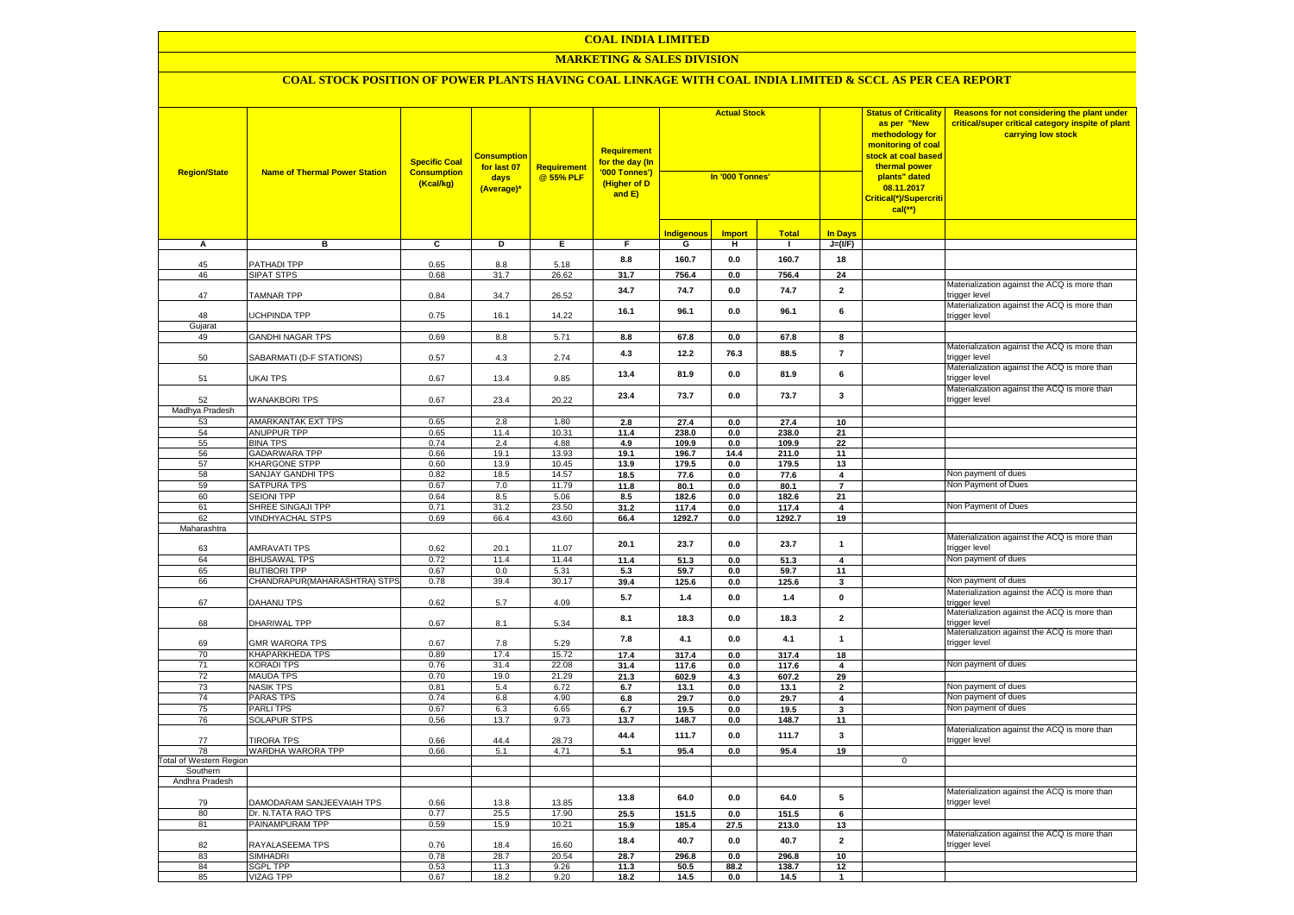#### **MARKETING & SALES DIVISION**

| <b>Region/State</b>     | <b>Name of Thermal Power Station</b> | <b>Specific Coal</b><br><b>Consumption</b><br>(Kcal/kg) | <b>Consumption</b><br>for last 07<br>days<br>(Average)* | <b>Requirement</b><br>@ 55% PLF | <b>Requirement</b><br>for the day (In<br>'000 Tonnes')<br>(Higher of D<br>and E) | <b>Actual Stock</b><br>In '000 Tonnes' |                 | 08.11.2017<br>$cal$ (**) |                         | <b>Status of Criticality</b><br>as per "New<br>methodology for<br><mark>monitoring of coal</mark><br><mark>stock at coal based</mark><br>thermal power<br>plants" dated<br>Critical(*)/Supercriti | Reasons for not considering the plant under<br>critical/super critical category inspite of plant<br>carrying low stock |
|-------------------------|--------------------------------------|---------------------------------------------------------|---------------------------------------------------------|---------------------------------|----------------------------------------------------------------------------------|----------------------------------------|-----------------|--------------------------|-------------------------|---------------------------------------------------------------------------------------------------------------------------------------------------------------------------------------------------|------------------------------------------------------------------------------------------------------------------------|
|                         |                                      |                                                         |                                                         |                                 |                                                                                  | <b>Indigenous</b>                      | <b>Import</b>   | <b>Total</b>             | <b>In Days</b>          |                                                                                                                                                                                                   |                                                                                                                        |
| A                       | в                                    | ट                                                       | Þ                                                       | Е.                              | F.                                                                               | G                                      | н               | $\mathbf{I}$             | $J=(VF)$                |                                                                                                                                                                                                   |                                                                                                                        |
|                         | <b>PATHADI TPP</b>                   |                                                         |                                                         |                                 | 8.8                                                                              | 160.7                                  | 0.0             | 160.7                    | 18                      |                                                                                                                                                                                                   |                                                                                                                        |
| 45<br>46                | <b>SIPAT STPS</b>                    | 0.65<br>0.68                                            | 8.8<br>31.7                                             | 5.18<br>26.62                   | 31.7                                                                             | 756.4                                  | 0.0             | 756.4                    | 24                      |                                                                                                                                                                                                   |                                                                                                                        |
|                         |                                      |                                                         |                                                         |                                 |                                                                                  |                                        |                 |                          | $\overline{2}$          |                                                                                                                                                                                                   | Materialization against the ACQ is more than                                                                           |
| 47                      | <b>TAMNAR TPP</b>                    | 0.84                                                    | 34.7                                                    | 26.52                           | 34.7                                                                             | 74.7                                   | 0.0             | 74.7                     |                         |                                                                                                                                                                                                   | trigger level                                                                                                          |
| 48                      |                                      | 0.75                                                    |                                                         | 14.22                           | 16.1                                                                             | 96.1                                   | 0.0             | 96.1                     | 6                       |                                                                                                                                                                                                   | Materialization against the ACQ is more than                                                                           |
| Gujarat                 | <b>JCHPINDA TPP</b>                  |                                                         | 16.1                                                    |                                 |                                                                                  |                                        |                 |                          |                         |                                                                                                                                                                                                   | trigger level                                                                                                          |
| 49                      | <b>GANDHI NAGAR TPS</b>              | 0.69                                                    | 8.8                                                     | 5.71                            | 8.8                                                                              | 67.8                                   | 0.0             | 67.8                     | 8                       |                                                                                                                                                                                                   |                                                                                                                        |
|                         |                                      |                                                         |                                                         |                                 |                                                                                  |                                        |                 |                          |                         |                                                                                                                                                                                                   | Materialization against the ACQ is more than                                                                           |
| 50                      | SABARMATI (D-F STATIONS)             | 0.57                                                    | $4.3$                                                   | 2.74                            | 4.3                                                                              | 12.2                                   | 76.3            | 88.5                     | $\overline{7}$          |                                                                                                                                                                                                   | trigger level                                                                                                          |
|                         |                                      |                                                         |                                                         |                                 | 13.4                                                                             | 81.9                                   | 0.0             | 81.9                     | 6                       |                                                                                                                                                                                                   | Materialization against the ACQ is more than                                                                           |
| 51                      | UKAI TPS                             | 0.67                                                    | 13.4                                                    | 9.85                            |                                                                                  |                                        |                 |                          |                         |                                                                                                                                                                                                   | rigger level<br>Materialization against the ACQ is more than                                                           |
| 52                      | <b>WANAKBORI TPS</b>                 | 0.67                                                    | 23.4                                                    | 20.22                           | 23.4                                                                             | 73.7                                   | 0.0             | 73.7                     | $\mathbf{3}$            |                                                                                                                                                                                                   | trigger level                                                                                                          |
| Madhya Pradesh          |                                      |                                                         |                                                         |                                 |                                                                                  |                                        |                 |                          |                         |                                                                                                                                                                                                   |                                                                                                                        |
| 53                      | AMARKANTAK EXT TPS                   | 0.65                                                    | 2.8                                                     | 1.80                            | 2.8                                                                              | 27.4                                   | 0.0             | 27.4                     | 10                      |                                                                                                                                                                                                   |                                                                                                                        |
| 54                      | ANUPPUR TPP                          | 0.65                                                    | 11.4                                                    | 10.31                           | 11.4                                                                             | 238.0                                  | 0.0             | 238.0                    | 21                      |                                                                                                                                                                                                   |                                                                                                                        |
| 55                      | <b>BINA TPS</b>                      | 0.74                                                    | 2.4                                                     | 4.88                            | 4.9                                                                              | 109.9                                  | 0.0             | 109.9                    | 22                      |                                                                                                                                                                                                   |                                                                                                                        |
| 56                      | <b>GADARWARA TPP</b>                 | 0.66                                                    | 19.1                                                    | 13.93                           | 19.1                                                                             | 196.7                                  | 14.4            | 211.0                    | 11                      |                                                                                                                                                                                                   |                                                                                                                        |
| 57                      | KHARGONE STPP                        | 0.60                                                    | 13.9                                                    | 10.45                           | 13.9                                                                             | 179.5                                  | 0.0             | 179.5                    | 13                      |                                                                                                                                                                                                   |                                                                                                                        |
| 58                      | SANJAY GANDHI TPS                    | 0.82                                                    | 18.5                                                    | 14.57                           | 18.5                                                                             | 77.6                                   | 0.0             | 77.6                     | $\overline{4}$          |                                                                                                                                                                                                   | Non payment of dues                                                                                                    |
| 59                      | SATPURA TPS                          | 0.67                                                    | 7.0                                                     | 11.79                           | 11.8                                                                             | 80.1                                   | 0.0             | 80.1                     | $\overline{7}$          |                                                                                                                                                                                                   | Non Payment of Dues                                                                                                    |
| 60                      | <b>SEIONI TPP</b>                    | 0.64                                                    | 8.5                                                     | 5.06                            | 8.5                                                                              | 182.6                                  | 0.0             | 182.6                    | 21                      |                                                                                                                                                                                                   |                                                                                                                        |
| 61                      | SHREE SINGAJI TPP                    | 0.71                                                    | 31.2                                                    | 23.50                           | 31.2                                                                             | 117.4                                  | 0.0             | 117.4                    | $\overline{\mathbf{4}}$ |                                                                                                                                                                                                   | Non Payment of Dues                                                                                                    |
| 62                      | <b>VINDHYACHAL STPS</b>              | 0.69                                                    | 66.4                                                    | 43.60                           | 66.4                                                                             | 1292.7                                 | 0.0             | 1292.7                   | 19                      |                                                                                                                                                                                                   |                                                                                                                        |
| Maharashtra             |                                      |                                                         |                                                         |                                 |                                                                                  |                                        |                 |                          |                         |                                                                                                                                                                                                   |                                                                                                                        |
|                         |                                      |                                                         |                                                         |                                 | 20.1                                                                             | 23.7                                   | 0.0             | 23.7                     | $\mathbf{1}$            |                                                                                                                                                                                                   | Materialization against the ACQ is more than                                                                           |
| 63                      | AMRAVATI TPS                         | 0.62                                                    | 20.1                                                    | 11.07                           |                                                                                  |                                        |                 |                          |                         |                                                                                                                                                                                                   | trigger level<br>Non payment of dues                                                                                   |
| 64                      | <b>BHUSAWAL TPS</b>                  | 0.72                                                    | 11.4                                                    | 11.44                           | 11.4                                                                             | 51.3                                   | 0.0             | 51.3                     | 4                       |                                                                                                                                                                                                   |                                                                                                                        |
| 65                      | <b>BUTIBORI TPP</b>                  | 0.67                                                    | 0.0                                                     | 5.31                            | 5.3                                                                              | 59.7                                   | 0.0             | 59.7                     | 11                      |                                                                                                                                                                                                   |                                                                                                                        |
| 66                      | CHANDRAPUR(MAHARASHTRA) STPS         | 0.78                                                    | 39.4                                                    | 30.17                           | 39.4                                                                             | 125.6                                  | $0.0\,$         | 125.6                    | $\mathbf{3}$            |                                                                                                                                                                                                   | Non payment of dues                                                                                                    |
| 67                      | DAHANU TPS                           | 0.62                                                    | 5.7                                                     | 4.09                            | 5.7                                                                              | 1.4                                    | 0.0             | 1.4                      | $\pmb{0}$               |                                                                                                                                                                                                   | Materialization against the ACQ is more than<br>rigger level                                                           |
|                         |                                      |                                                         |                                                         |                                 |                                                                                  |                                        |                 |                          |                         |                                                                                                                                                                                                   | Materialization against the ACQ is more than                                                                           |
| 68                      | DHARIWAL TPP                         | 0.67                                                    | 8.1                                                     | 5.34                            | 8.1                                                                              | 18.3                                   | 0.0             | 18.3                     | $\overline{2}$          |                                                                                                                                                                                                   | rigger level                                                                                                           |
|                         |                                      |                                                         |                                                         |                                 |                                                                                  |                                        |                 |                          |                         |                                                                                                                                                                                                   | Materialization against the ACQ is more than                                                                           |
| 69                      | GMR WARORA TPS                       | 0.67                                                    | 7.8                                                     | 5.29                            | 7.8                                                                              | 4.1                                    | 0.0             | 4.1                      | $\mathbf{1}$            |                                                                                                                                                                                                   | trigger level                                                                                                          |
| 70                      | KHAPARKHEDA TPS                      | 0.89                                                    | 17.4                                                    | 15.72                           | 17.4                                                                             | 317.4                                  | 0.0             | 317.4                    | 18                      |                                                                                                                                                                                                   |                                                                                                                        |
| 71                      | <b>KORADI TPS</b>                    | 0.76                                                    | 31.4                                                    | 22.08                           | 31.4                                                                             | 117.6                                  | 0.0             | 117.6                    | $\overline{\mathbf{4}}$ |                                                                                                                                                                                                   | Non payment of dues                                                                                                    |
| 72                      | <b>MAUDA TPS</b>                     | 0.70                                                    | 19.0                                                    | 21.29                           | 21.3                                                                             | 602.9                                  | 4.3             | 607.2                    | 29                      |                                                                                                                                                                                                   |                                                                                                                        |
| 73                      | <b>NASIK TPS</b>                     | 0.81                                                    | 5.4                                                     | 6.72                            | 6.7                                                                              | 13.1                                   | $0.0\,$         | 13.1                     | $\overline{\mathbf{2}}$ |                                                                                                                                                                                                   | Non payment of dues                                                                                                    |
| 74                      | <b>PARAS TPS</b>                     | 0.74                                                    | 6.8                                                     | 4.90                            | 6.8                                                                              | 29.7                                   | 0.0             | 29.7                     | 4                       |                                                                                                                                                                                                   | Non payment of dues                                                                                                    |
| 75                      | PARLI TPS                            | 0.67                                                    | 6.3                                                     | 6.65                            | 6.7                                                                              | 19.5                                   | 0.0             | 19.5                     | 3                       |                                                                                                                                                                                                   | Non payment of dues                                                                                                    |
| 76                      | <b>SOLAPUR STPS</b>                  | 0.56                                                    | 13.7                                                    | 9.73                            | 13.7                                                                             | 148.7                                  | 0.0             | 148.7                    | 11                      |                                                                                                                                                                                                   |                                                                                                                        |
| 77                      | <b>TIRORA TPS</b>                    | 0.66                                                    | 44.4                                                    | 28.73                           | 44.4                                                                             | 111.7                                  | $0.0\,$         | 111.7                    | $\overline{\mathbf{3}}$ |                                                                                                                                                                                                   | Materialization against the ACQ is more than<br>trigger level                                                          |
| 78                      | WARDHA WARORA TPP                    | 0.66                                                    | 5.1                                                     | 4.71                            | 5.1                                                                              | 95.4                                   | 0.0             | 95.4                     | 19                      |                                                                                                                                                                                                   |                                                                                                                        |
| Total of Western Region |                                      |                                                         |                                                         |                                 |                                                                                  |                                        |                 |                          |                         | $\overline{0}$                                                                                                                                                                                    |                                                                                                                        |
| Southern                |                                      |                                                         |                                                         |                                 |                                                                                  |                                        |                 |                          |                         |                                                                                                                                                                                                   |                                                                                                                        |
| Andhra Pradesh          |                                      |                                                         |                                                         |                                 |                                                                                  |                                        |                 |                          |                         |                                                                                                                                                                                                   |                                                                                                                        |
|                         |                                      |                                                         |                                                         |                                 |                                                                                  | 64.0                                   | 0.0             | 64.0                     | 5                       |                                                                                                                                                                                                   | Materialization against the ACQ is more than                                                                           |
| 79                      | DAMODARAM SANJEEVAIAH TPS            | 0.66                                                    | 13.8                                                    | 13.85                           | 13.8                                                                             |                                        |                 |                          |                         |                                                                                                                                                                                                   | trigger level                                                                                                          |
| 80                      | Dr. N.TATA RAO TPS                   | 0.77                                                    | 25.5                                                    | 17.90                           | 25.5                                                                             | 151.5                                  | 0.0             | 151.5                    | 6                       |                                                                                                                                                                                                   |                                                                                                                        |
| 81                      | PAINAMPURAM TPP                      | 0.59                                                    | 15.9                                                    | 10.21                           | 15.9                                                                             | 185.4                                  | 27.5            | 213.0                    | 13                      |                                                                                                                                                                                                   |                                                                                                                        |
|                         |                                      |                                                         |                                                         |                                 | 18.4                                                                             | 40.7                                   | $0.0\,$         | 40.7                     | $\mathbf 2$             |                                                                                                                                                                                                   | Materialization against the ACQ is more than                                                                           |
| 82                      | RAYALASEEMA TPS                      | 0.76                                                    | 18.4                                                    | 16.60                           |                                                                                  |                                        |                 |                          |                         |                                                                                                                                                                                                   | trigger level                                                                                                          |
| 83<br>84                | <b>SIMHADRI</b><br><b>SGPL TPP</b>   | 0.78<br>0.53                                            | 28.7<br>11.3                                            | 20.54<br>9.26                   | 28.7                                                                             | 296.8                                  | 0.0             | 296.8                    | 10                      |                                                                                                                                                                                                   |                                                                                                                        |
| 85                      | <b>VIZAG TPP</b>                     | 0.67                                                    | 18.2                                                    | 9.20                            | 11.3<br>18.2                                                                     | 50.5<br>14.5                           | 88.2<br>$0.0\,$ | 138.7<br>14.5            | 12<br>$\overline{1}$    |                                                                                                                                                                                                   |                                                                                                                        |
|                         |                                      |                                                         |                                                         |                                 |                                                                                  |                                        |                 |                          |                         |                                                                                                                                                                                                   |                                                                                                                        |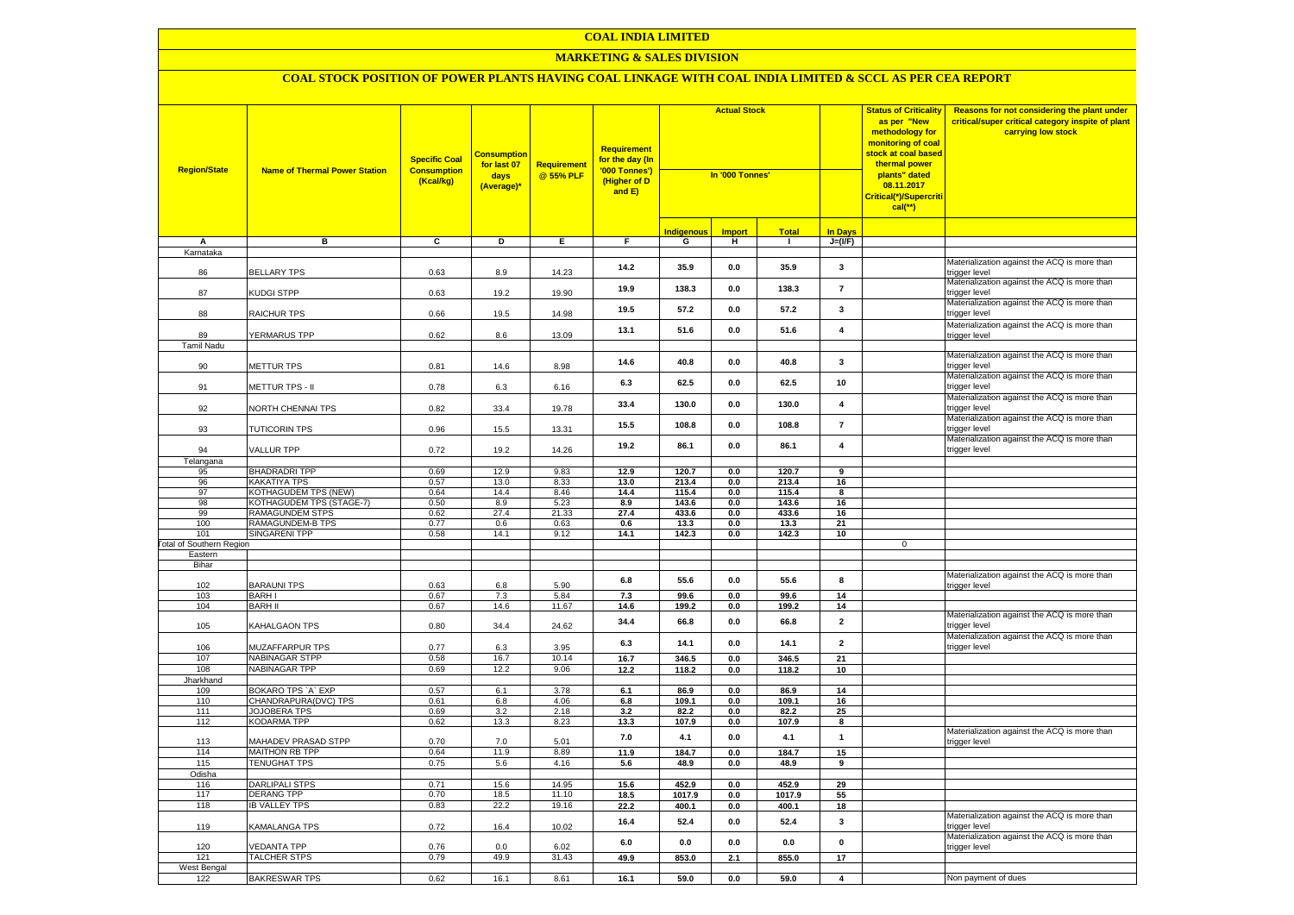#### **MARKETING & SALES DIVISION**

| <b>Region/State</b>             | <b>Name of Thermal Power Station</b>         | <b>Specific Coal</b><br><b>Consumption</b><br>(Kcal/kg) | <mark>Consumption</mark><br>for last 07<br>days<br>(Average)* | <b>Requirement</b><br>@ 55% PLF | Requirement<br>for the day (In<br>'000 Tonnes')<br>(Higher of D<br>and E) | <b>Actual Stock</b><br>In '000 Tonnes' |               |                |                         | <b>Status of Criticality</b><br>as per "New<br>methodology for<br><mark>monitoring of coal</mark><br><mark>stock at coal based</mark><br>thermal power<br>plants" dated<br>08.11.2017<br>Critical(*)/Supercriti<br>$cal$ (**) | Reasons for not considering the plant under<br>critical/super critical category inspite of plant<br>carrying low stock |
|---------------------------------|----------------------------------------------|---------------------------------------------------------|---------------------------------------------------------------|---------------------------------|---------------------------------------------------------------------------|----------------------------------------|---------------|----------------|-------------------------|-------------------------------------------------------------------------------------------------------------------------------------------------------------------------------------------------------------------------------|------------------------------------------------------------------------------------------------------------------------|
|                                 |                                              |                                                         |                                                               |                                 |                                                                           | <u>Indigenous</u>                      | <b>Import</b> | Total          | <b>In Days</b>          |                                                                                                                                                                                                                               |                                                                                                                        |
| А                               | в                                            | c                                                       | Þ                                                             | Ε                               | F                                                                         | G                                      | н             | $\mathbf{I}$   | $J=(VF)$                |                                                                                                                                                                                                                               |                                                                                                                        |
| Karnataka                       |                                              |                                                         |                                                               |                                 |                                                                           |                                        |               |                |                         |                                                                                                                                                                                                                               |                                                                                                                        |
| 86                              | <b>BELLARY TPS</b>                           | 0.63                                                    | 8.9                                                           | 14.23                           | 14.2                                                                      | 35.9                                   | 0.0           | 35.9           | $\mathbf{3}$            |                                                                                                                                                                                                                               | Materialization against the ACQ is more than<br>rigger level                                                           |
| 87                              | KUDGI STPP                                   | 0.63                                                    | 19.2                                                          | 19.90                           | 19.9                                                                      | 138.3                                  | 0.0           | 138.3          | $\overline{7}$          |                                                                                                                                                                                                                               | Materialization against the ACQ is more than<br>rigger level:                                                          |
| 88                              | RAICHUR TPS                                  | 0.66                                                    | 19.5                                                          | 14.98                           | 19.5                                                                      | 57.2                                   | 0.0           | 57.2           | $\mathbf{3}$            |                                                                                                                                                                                                                               | Materialization against the ACQ is more than<br>rigger level                                                           |
| 89                              | <b>YERMARUS TPP</b>                          | 0.62                                                    | 8.6                                                           | 13.09                           | 13.1                                                                      | 51.6                                   | 0.0           | 51.6           | $\overline{4}$          |                                                                                                                                                                                                                               | Materialization against the ACQ is more than<br>trigger level                                                          |
| Tamil Nadu                      |                                              |                                                         |                                                               |                                 |                                                                           |                                        |               |                |                         |                                                                                                                                                                                                                               |                                                                                                                        |
| 90                              | <b>METTUR TPS</b>                            | 0.81                                                    | 14.6                                                          | 8.98                            | 14.6                                                                      | 40.8                                   | 0.0           | 40.8           | $\mathbf{3}$            |                                                                                                                                                                                                                               | Materialization against the ACQ is more than<br>rigger level                                                           |
| 91                              | METTUR TPS - II                              | 0.78                                                    | 6.3                                                           | 6.16                            | 6.3                                                                       | 62.5                                   | 0.0           | 62.5           | 10                      |                                                                                                                                                                                                                               | Materialization against the ACQ is more than<br>rigger level:                                                          |
| 92                              | <b>VORTH CHENNAI TPS</b>                     | 0.82                                                    | 33.4                                                          | 19.78                           | 33.4                                                                      | 130.0                                  | 0.0           | 130.0          | $\overline{\mathbf{4}}$ |                                                                                                                                                                                                                               | Materialization against the ACQ is more than<br>rigger level                                                           |
| 93                              | <b>TUTICORIN TPS</b>                         | 0.96                                                    | 15.5                                                          | 13.31                           | 15.5                                                                      | 108.8                                  | 0.0           | 108.8          | $\overline{7}$          |                                                                                                                                                                                                                               | Materialization against the ACQ is more than<br>rigger level                                                           |
| 94                              | VALLUR TPP                                   | 0.72                                                    | 19.2                                                          | 14.26                           | 19.2                                                                      | 86.1                                   | 0.0           | 86.1           | $\overline{\mathbf{4}}$ |                                                                                                                                                                                                                               | Materialization against the ACQ is more than<br>trigger level                                                          |
| Telangana                       |                                              |                                                         |                                                               |                                 |                                                                           |                                        |               |                |                         |                                                                                                                                                                                                                               |                                                                                                                        |
| 95                              | <b>BHADRADRI TPP</b>                         | 0.69                                                    | 12.9                                                          | 9.83                            | 12.9                                                                      | 120.7                                  | 0.0           | 120.7          | 9                       |                                                                                                                                                                                                                               |                                                                                                                        |
| 96<br>97                        | KAKATIYA TPS<br>KOTHAGUDEM TPS (NEW)         | 0.57<br>0.64                                            | 13.0<br>14.4                                                  | 8.33<br>8.46                    | 13.0<br>14.4                                                              | 213.4<br>115.4                         | 0.0<br>0.0    | 213.4<br>115.4 | 16<br>8                 |                                                                                                                                                                                                                               |                                                                                                                        |
| 98                              | KOTHAGUDEM TPS (STAGE-7)                     | 0.50                                                    | 8.9                                                           | 5.23                            | 8.9                                                                       | 143.6                                  | 0.0           | 143.6          | 16                      |                                                                                                                                                                                                                               |                                                                                                                        |
| 99                              | RAMAGUNDEM STPS                              | 0.62                                                    | 27.4                                                          | 21.33                           | 27.4                                                                      | 433.6                                  | 0.0           | 433.6          | 16                      |                                                                                                                                                                                                                               |                                                                                                                        |
| 100                             | RAMAGUNDEM-B TPS                             | 0.77                                                    | 0.6                                                           | 0.63                            | 0.6                                                                       | 13.3                                   | 0.0           | 13.3           | 21                      |                                                                                                                                                                                                                               |                                                                                                                        |
| 101                             | <b>SINGARENI TPP</b>                         | 0.58                                                    | 14.1                                                          | 9.12                            | 14.1                                                                      | 142.3                                  | 0.0           | 142.3          | 10                      |                                                                                                                                                                                                                               |                                                                                                                        |
| <b>Total of Southern Region</b> |                                              |                                                         |                                                               |                                 |                                                                           |                                        |               |                |                         | 0                                                                                                                                                                                                                             |                                                                                                                        |
| Eastern                         |                                              |                                                         |                                                               |                                 |                                                                           |                                        |               |                |                         |                                                                                                                                                                                                                               |                                                                                                                        |
| Bihar                           |                                              |                                                         |                                                               |                                 |                                                                           |                                        |               |                |                         |                                                                                                                                                                                                                               |                                                                                                                        |
| 102                             | <b>BARAUNI TPS</b>                           | 0.63                                                    | 6.8                                                           | 5.90                            | 6.8                                                                       | 55.6                                   | 0.0           | 55.6           | 8                       |                                                                                                                                                                                                                               | Materialization against the ACQ is more than<br>rigger level                                                           |
| 103                             | <b>BARHI</b>                                 | 0.67                                                    | 7.3                                                           | 5.84                            | 7.3                                                                       | 99.6                                   | 0.0           | 99.6           | 14                      |                                                                                                                                                                                                                               |                                                                                                                        |
| 104                             | <b>BARH II</b>                               | 0.67                                                    | 14.6                                                          | 11.67                           | 14.6                                                                      | 199.2                                  | 0.0           | 199.2          | 14                      |                                                                                                                                                                                                                               |                                                                                                                        |
| 105                             | KAHALGAON TPS                                | 0.80                                                    | 34.4                                                          | 24.62                           | 34.4                                                                      | 66.8                                   | 0.0           | 66.8           | $\overline{\mathbf{2}}$ |                                                                                                                                                                                                                               | Materialization against the ACQ is more than<br>rigger level                                                           |
| 106                             | MUZAFFARPUR TPS                              | 0.77                                                    | 6.3                                                           | 3.95                            | 6.3                                                                       | 14.1                                   | 0.0           | 14.1           | $\overline{2}$          |                                                                                                                                                                                                                               | Materialization against the ACQ is more than<br>trigger level                                                          |
| 107                             | NABINAGAR STPP                               | 0.58                                                    | 16.7                                                          | 10.14                           | 16.7                                                                      | 346.5                                  | 0.0           | 346.5          | 21                      |                                                                                                                                                                                                                               |                                                                                                                        |
| 108                             | NABINAGAR TPP                                | 0.69                                                    | 12.2                                                          | 9.06                            | 12.2                                                                      | 118.2                                  | 0.0           | 118.2          | 10                      |                                                                                                                                                                                                                               |                                                                                                                        |
| Jharkhand                       |                                              | 0.57                                                    |                                                               |                                 |                                                                           |                                        |               |                |                         |                                                                                                                                                                                                                               |                                                                                                                        |
| 109<br>110                      | BOKARO TPS 'A' EXP<br>CHANDRAPURA(DVC) TPS   | 0.61                                                    | 6.1<br>6.8                                                    | 3.78<br>4.06                    | 6.1<br>6.8                                                                | 86.9<br>109.1                          | 0.0<br>0.0    | 86.9<br>109.1  | 14<br>16                |                                                                                                                                                                                                                               |                                                                                                                        |
| 111                             | <b>JOJOBERA TPS</b>                          | 0.69                                                    | 3.2                                                           | 2.18                            | 3.2                                                                       | 82.2                                   | 0.0           | 82.2           | 25                      |                                                                                                                                                                                                                               |                                                                                                                        |
| 112                             | <b>KODARMA TPP</b>                           | 0.62                                                    | 13.3                                                          | 8.23                            | 13.3                                                                      | 107.9                                  | 0.0           | 107.9          | 8                       |                                                                                                                                                                                                                               |                                                                                                                        |
|                                 |                                              |                                                         |                                                               |                                 | 7.0                                                                       | 4.1                                    | 0.0           | 4.1            | $\mathbf{1}$            |                                                                                                                                                                                                                               | Materialization against the ACQ is more than                                                                           |
| 113<br>114                      | MAHADEV PRASAD STPP<br><b>MAITHON RB TPP</b> | 0.70<br>0.64                                            | 7.0<br>11.9                                                   | 5.01<br>8.89                    | 11.9                                                                      | 184.7                                  | 0.0           | 184.7          | 15                      |                                                                                                                                                                                                                               | rigger level                                                                                                           |
| 115                             | <b>TENUGHAT TPS</b>                          | 0.75                                                    | 5.6                                                           | 4.16                            | 5.6                                                                       | 48.9                                   | 0.0           | 48.9           | 9                       |                                                                                                                                                                                                                               |                                                                                                                        |
| Odisha                          |                                              |                                                         |                                                               |                                 |                                                                           |                                        |               |                |                         |                                                                                                                                                                                                                               |                                                                                                                        |
| 116                             | <b>DARLIPALI STPS</b>                        | 0.71                                                    | 15.6                                                          | 14.95                           | 15.6                                                                      | 452.9                                  | 0.0           | 452.9          | 29                      |                                                                                                                                                                                                                               |                                                                                                                        |
| 117                             | <b>DERANG TPP</b>                            | 0.70                                                    | 18.5                                                          | 11.10                           | 18.5                                                                      | 1017.9                                 | 0.0           | 1017.9         | 55                      |                                                                                                                                                                                                                               |                                                                                                                        |
| 118                             | <b>IB VALLEY TPS</b>                         | 0.83                                                    | 22.2                                                          | 19.16                           | 22.2                                                                      | 400.1                                  | 0.0           | 400.1          | 18                      |                                                                                                                                                                                                                               | Materialization against the ACQ is more than                                                                           |
| 119                             | KAMALANGA TPS                                | 0.72                                                    | 16.4                                                          | 10.02                           | 16.4                                                                      | 52.4                                   | 0.0           | 52.4           | $\mathbf{3}$            |                                                                                                                                                                                                                               | rigger level                                                                                                           |
| 120                             | <b>/EDANTA TPP</b>                           | 0.76                                                    | 0.0                                                           | 6.02                            | 6.0                                                                       | 0.0                                    | 0.0           | 0.0            | $\pmb{0}$               |                                                                                                                                                                                                                               | Materialization against the ACQ is more than<br>trigger level                                                          |
| 121                             | <b>TALCHER STPS</b>                          | 0.79                                                    | 49.9                                                          | 31.43                           | 49.9                                                                      | 853.0                                  | 2.1           | 855.0          | 17                      |                                                                                                                                                                                                                               |                                                                                                                        |
| West Bengal                     |                                              |                                                         |                                                               |                                 |                                                                           |                                        |               |                |                         |                                                                                                                                                                                                                               |                                                                                                                        |
| 122                             | <b>BAKRESWAR TPS</b>                         | 0.62                                                    | 16.1                                                          | 8.61                            | 16.1                                                                      | 59.0                                   | 0.0           | 59.0           | $\overline{\mathbf{4}}$ |                                                                                                                                                                                                                               | Non payment of dues                                                                                                    |